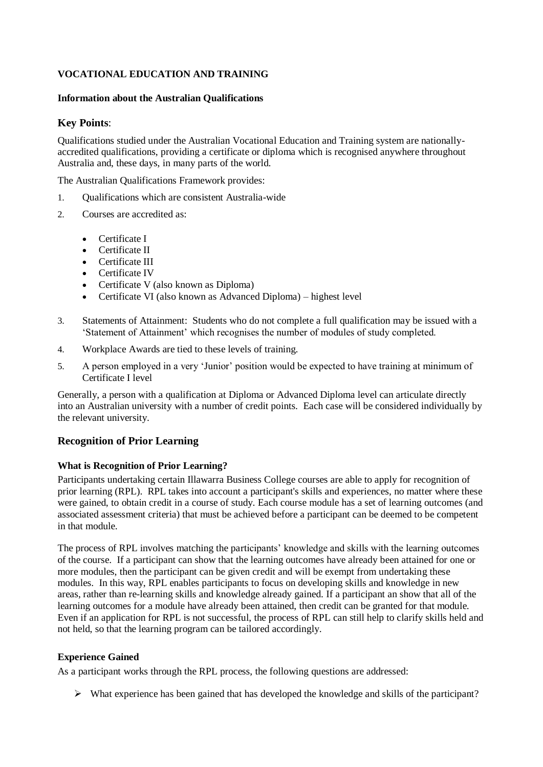# **VOCATIONAL EDUCATION AND TRAINING**

### **Information about the Australian Qualifications**

## **Key Points**:

Qualifications studied under the Australian Vocational Education and Training system are nationallyaccredited qualifications, providing a certificate or diploma which is recognised anywhere throughout Australia and, these days, in many parts of the world.

The Australian Qualifications Framework provides:

- 1. Qualifications which are consistent Australia-wide
- 2. Courses are accredited as:
	- **Certificate I**
	- Certificate II
	- Certificate III
	- Certificate IV
	- Certificate V (also known as Diploma)
	- Certificate VI (also known as Advanced Diploma) highest level
- 3. Statements of Attainment: Students who do not complete a full qualification may be issued with a 'Statement of Attainment' which recognises the number of modules of study completed.
- 4. Workplace Awards are tied to these levels of training.
- 5. A person employed in a very 'Junior' position would be expected to have training at minimum of Certificate I level

Generally, a person with a qualification at Diploma or Advanced Diploma level can articulate directly into an Australian university with a number of credit points. Each case will be considered individually by the relevant university.

## **Recognition of Prior Learning**

#### **What is Recognition of Prior Learning?**

Participants undertaking certain Illawarra Business College courses are able to apply for recognition of prior learning (RPL). RPL takes into account a participant's skills and experiences, no matter where these were gained, to obtain credit in a course of study. Each course module has a set of learning outcomes (and associated assessment criteria) that must be achieved before a participant can be deemed to be competent in that module.

The process of RPL involves matching the participants' knowledge and skills with the learning outcomes of the course. If a participant can show that the learning outcomes have already been attained for one or more modules, then the participant can be given credit and will be exempt from undertaking these modules. In this way, RPL enables participants to focus on developing skills and knowledge in new areas, rather than re-learning skills and knowledge already gained. If a participant an show that all of the learning outcomes for a module have already been attained, then credit can be granted for that module. Even if an application for RPL is not successful, the process of RPL can still help to clarify skills held and not held, so that the learning program can be tailored accordingly.

#### **Experience Gained**

As a participant works through the RPL process, the following questions are addressed:

 $\triangleright$  What experience has been gained that has developed the knowledge and skills of the participant?